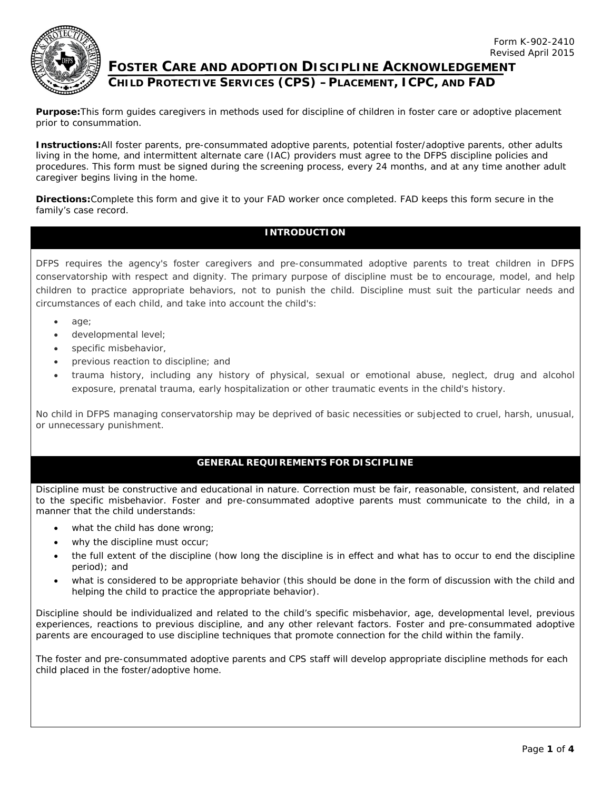

# **FOSTER CARE AND ADOPTION DISCIPLINE ACKNOWLEDGEMENT CHILD PROTECTIVE SERVICES (CPS) –PLACEMENT, ICPC, AND FAD**

**Purpose:**This form guides caregivers in methods used for discipline of children in foster care or adoptive placement prior to consummation.

**Instructions:**All foster parents, pre-consummated adoptive parents, potential foster/adoptive parents, other adults living in the home, and intermittent alternate care (IAC) providers must agree to the DFPS discipline policies and procedures. This form must be signed during the screening process, every 24 months, and at any time another adult caregiver begins living in the home.

**Directions:**Complete this form and give it to your FAD worker once completed. FAD keeps this form secure in the family's case record.

## **INTRODUCTION**

DFPS requires the agency's foster caregivers and pre-consummated adoptive parents to treat children in DFPS conservatorship with respect and dignity. The primary purpose of discipline must be to encourage, model, and help children to practice appropriate behaviors, not to punish the child. Discipline must suit the particular needs and circumstances of each child, and take into account the child's:

- age;
- developmental level;
- specific misbehavior,
- previous reaction to discipline; and
- trauma history, including any history of physical, sexual or emotional abuse, neglect, drug and alcohol exposure, prenatal trauma, early hospitalization or other traumatic events in the child's history.

No child in DFPS managing conservatorship may be deprived of basic necessities or subjected to cruel, harsh, unusual, or unnecessary punishment.

#### **GENERAL REQUIREMENTS FOR DISCIPLINE**

Discipline must be constructive and educational in nature. Correction must be fair, reasonable, consistent, and related to the specific misbehavior. Foster and pre-consummated adoptive parents must communicate to the child, in a manner that the child understands:

- what the child has done wrong;
- why the discipline must occur;
- the full extent of the discipline (how long the discipline is in effect and what has to occur to end the discipline period); and
- what is considered to be appropriate behavior (this should be done in the form of discussion with the child and helping the child to practice the appropriate behavior).

Discipline should be individualized and related to the child's specific misbehavior, age, developmental level, previous experiences, reactions to previous discipline, and any other relevant factors. Foster and pre-consummated adoptive parents are encouraged to use discipline techniques that promote connection for the child within the family.

The foster and pre-consummated adoptive parents and CPS staff will develop appropriate discipline methods for each child placed in the foster/adoptive home.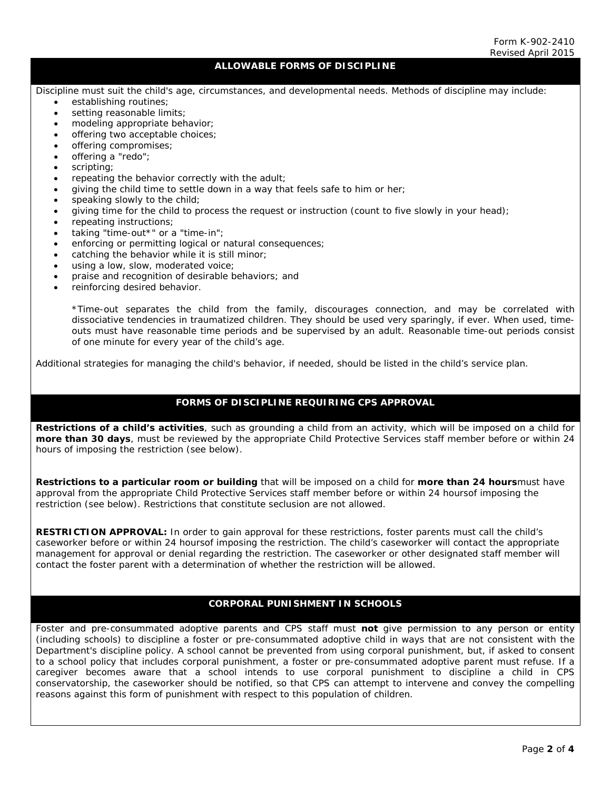## **ALLOWABLE FORMS OF DISCIPLINE**

Discipline must suit the child's age, circumstances, and developmental needs. Methods of discipline may include:

- establishing routines;
- setting reasonable limits;
- modeling appropriate behavior;
- offering two acceptable choices;
- offering compromises;
- offering a "redo";
- scripting;
- repeating the behavior correctly with the adult;
- giving the child time to settle down in a way that feels safe to him or her;
- speaking slowly to the child;
- giving time for the child to process the request or instruction (count to five slowly in your head);
- repeating instructions;
- taking "time-out\*" or a "time-in";
- enforcing or permitting logical or natural consequences;
- catching the behavior while it is still minor;
- using a low, slow, moderated voice;
- praise and recognition of desirable behaviors; and
- reinforcing desired behavior.

\*Time-out separates the child from the family, discourages connection, and may be correlated with dissociative tendencies in traumatized children. They should be used very sparingly, if ever. When used, timeouts must have reasonable time periods and be supervised by an adult. Reasonable time-out periods consist of one minute for every year of the child's age.

Additional strategies for managing the child's behavior, if needed, should be listed in the child's service plan.

#### **FORMS OF DISCIPLINE REQUIRING CPS APPROVAL**

**Restrictions of a child's activities**, such as grounding a child from an activity, which will be imposed on a child for *more than 30 days*, must be reviewed by the appropriate Child Protective Services staff member *before or within 24 hours of* imposing the restriction (see below).

**Restrictions to a particular room or building** that will be imposed on a child for *more than 24 hours*must have approval from the appropriate Child Protective Services staff member *before or within 24 hoursof* imposing the restriction (see below). Restrictions that constitute seclusion are not allowed.

**RESTRICTION APPROVAL:** In order to gain approval for these restrictions, foster parents must call the child's caseworker *before or within 24 hoursof* imposing the restriction. The child's caseworker will contact the appropriate management for approval or denial regarding the restriction. The caseworker or other designated staff member will contact the foster parent with a determination of whether the restriction will be allowed.

#### **CORPORAL PUNISHMENT IN SCHOOLS**

Foster and pre-consummated adoptive parents and CPS staff must **not** give permission to any person or entity (including schools) to discipline a foster or pre-consummated adoptive child in ways that are not consistent with the Department's discipline policy. A school cannot be prevented from using corporal punishment, but, if asked to consent to a school policy that includes corporal punishment, a foster or pre-consummated adoptive parent must refuse. If a caregiver becomes aware that a school intends to use corporal punishment to discipline a child in CPS conservatorship, the caseworker should be notified, so that CPS can attempt to intervene and convey the compelling reasons against this form of punishment with respect to this population of children.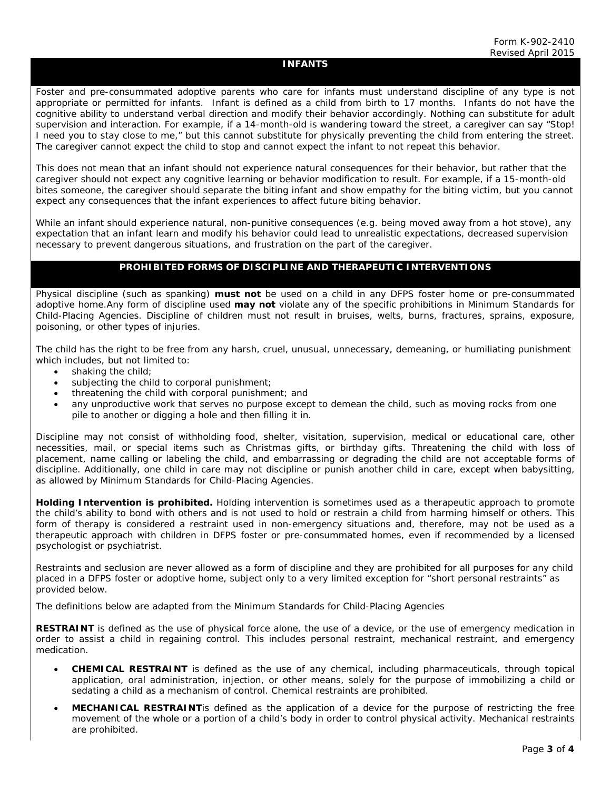#### **INFANTS**

Foster and pre-consummated adoptive parents who care for infants must understand discipline of any type is not appropriate or permitted for infants. Infant is defined as a child from birth to 17 months. Infants do not have the cognitive ability to understand verbal direction and modify their behavior accordingly. Nothing can substitute for adult supervision and interaction. For example, if a 14-month-old is wandering toward the street, a caregiver can say "Stop! I need you to stay close to me," but this cannot substitute for physically preventing the child from entering the street. The caregiver cannot expect the child to stop and cannot expect the infant to not repeat this behavior.

This does not mean that an infant should not experience natural consequences for their behavior, but rather that the caregiver should not expect any cognitive learning or behavior modification to result. For example, if a 15-month-old bites someone, the caregiver should separate the biting infant and show empathy for the biting victim, but you cannot expect any consequences that the infant experiences to affect future biting behavior.

While an infant should experience natural, non-punitive consequences (e.g. being moved away from a hot stove), any expectation that an infant learn and modify his behavior could lead to unrealistic expectations, decreased supervision necessary to prevent dangerous situations, and frustration on the part of the caregiver.

#### **PROHIBITED FORMS OF DISCIPLINE AND THERAPEUTIC INTERVENTIONS**

Physical discipline (such as spanking) **must not** be used on a child in any DFPS foster home or pre-consummated adoptive home.Any form of discipline used **may not** violate any of the specific prohibitions in *Minimum Standards for Child-Placing Agencies*. Discipline of children must not result in bruises, welts, burns, fractures, sprains, exposure, poisoning, or other types of injuries.

The child has the right to be free from any harsh, cruel, unusual, unnecessary, demeaning, or humiliating punishment which includes, but not limited to:

- shaking the child:
- subjecting the child to corporal punishment;
- threatening the child with corporal punishment; and
- any unproductive work that serves no purpose except to demean the child, such as moving rocks from one pile to another or digging a hole and then filling it in.

Discipline may not consist of withholding food, shelter, visitation, supervision, medical or educational care, other necessities, mail, or special items such as Christmas gifts, or birthday gifts. Threatening the child with loss of placement, name calling or labeling the child, and embarrassing or degrading the child are not acceptable forms of discipline. Additionally, one child in care may not discipline or punish another child in care, except when babysitting, as allowed by Minimum Standards for Child-Placing Agencies.

**Holding Intervention is prohibited.** Holding intervention is sometimes used as a therapeutic approach to promote the child's ability to bond with others and is not used to hold or restrain a child from harming himself or others. This form of therapy is considered a restraint used in non-emergency situations and, therefore, may not be used as a therapeutic approach with children in DFPS foster or pre-consummated homes, even if recommended by a licensed psychologist or psychiatrist.

Restraints and seclusion are never allowed as a form of discipline and they are prohibited for all purposes for any child placed in a DFPS foster or adoptive home, subject only to a very limited exception for "short personal restraints" as provided below.

The definitions below are adapted from the *Minimum Standards for Child-Placing Agencies*

**RESTRAINT** is defined as the use of physical force alone, the use of a device, or the use of emergency medication in order to assist a child in regaining control. This includes personal restraint, mechanical restraint, and emergency medication.

- **CHEMICAL RESTRAINT** is defined as the use of any chemical, including pharmaceuticals, through topical application, oral administration, injection, or other means, solely for the purpose of immobilizing a child or sedating a child as a mechanism of control. Chemical restraints are prohibited.
- **MECHANICAL RESTRAINT**is defined as the application of a device for the purpose of restricting the free movement of the whole or a portion of a child's body in order to control physical activity. Mechanical restraints are prohibited.